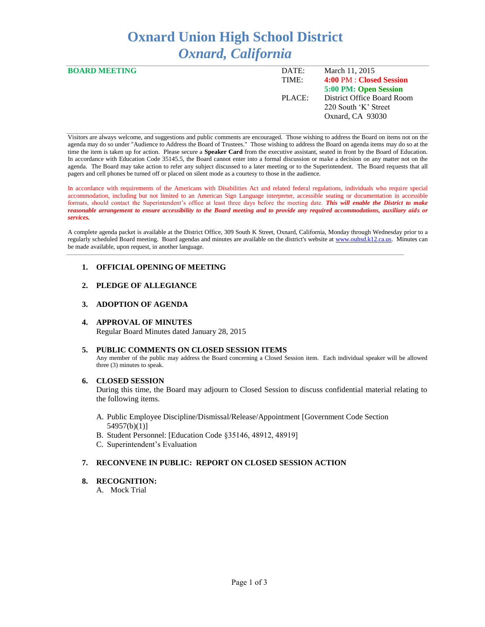# **Oxnard Union High School District** *Oxnard, California*

| <b>BOARD MEETING</b> | DATE:  | March 11, 2015             |
|----------------------|--------|----------------------------|
|                      | TIME:  | 4:00 PM : Closed Session   |
|                      |        | 5:00 PM: Open Session      |
|                      | PLACE: | District Office Board Room |
|                      |        | 220 South 'K' Street       |
|                      |        | Oxnard, CA 93030           |
|                      |        |                            |

Visitors are always welcome, and suggestions and public comments are encouraged. Those wishing to address the Board on items not on the agenda may do so under "Audience to Address the Board of Trustees." Those wishing to address the Board on agenda items may do so at the time the item is taken up for action. Please secure a **Speaker Card** from the executive assistant, seated in front by the Board of Education. In accordance with Education Code 35145.5, the Board cannot enter into a formal discussion or make a decision on any matter not on the agenda. The Board may take action to refer any subject discussed to a later meeting or to the Superintendent. The Board requests that all pagers and cell phones be turned off or placed on silent mode as a courtesy to those in the audience.

In accordance with requirements of the Americans with Disabilities Act and related federal regulations, individuals who require special accommodation, including but not limited to an American Sign Language interpreter, accessible seating or documentation in accessible formats, should contact the Superintendent's office at least three days before the meeting date. *This will enable the District to make reasonable arrangement to ensure accessibility to the Board meeting and to provide any required accommodations, auxiliary aids or services.* 

A complete agenda packet is available at the District Office, 309 South K Street, Oxnard, California, Monday through Wednesday prior to a regularly scheduled Board meeting. Board agendas and minutes are available on the district's website a[t www.ouhsd.k12.ca.us.](http://www.ouhsd.k12.ca.us/)Minutes can be made available, upon request, in another language.

# **1. OFFICIAL OPENING OF MEETING**

# **2. PLEDGE OF ALLEGIANCE**

# **3. ADOPTION OF AGENDA**

# **4. APPROVAL OF MINUTES**

Regular Board Minutes dated January 28, 2015

# **5. PUBLIC COMMENTS ON CLOSED SESSION ITEMS**

Any member of the public may address the Board concerning a Closed Session item. Each individual speaker will be allowed three (3) minutes to speak.

# **6. CLOSED SESSION**

During this time, the Board may adjourn to Closed Session to discuss confidential material relating to the following items.

- A. Public Employee Discipline/Dismissal/Release/Appointment [Government Code Section 54957(b)(1)]
- B. Student Personnel: [Education Code §35146, 48912, 48919]
- C. Superintendent's Evaluation

# **7. RECONVENE IN PUBLIC: REPORT ON CLOSED SESSION ACTION**

#### **8. RECOGNITION:**

A. Mock Trial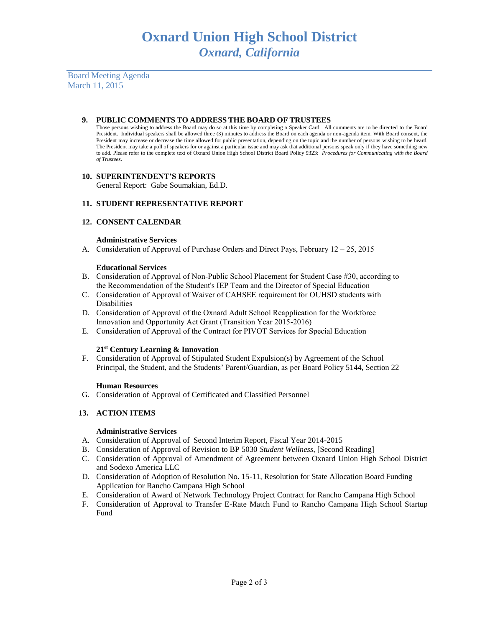Board Meeting Agenda March 11, 2015

## **9. PUBLIC COMMENTS TO ADDRESS THE BOARD OF TRUSTEES**

Those persons wishing to address the Board may do so at this time by completing a Speaker Card. All comments are to be directed to the Board President. Individual speakers shall be allowed three (3) minutes to address the Board on each agenda or non-agenda item. With Board consent, the President may increase or decrease the time allowed for public presentation, depending on the topic and the number of persons wishing to be heard. The President may take a poll of speakers for or against a particular issue and may ask that additional persons speak only if they have something new to add. Please refer to the complete text of Oxnard Union High School District Board Policy 9323: *Procedures for Communicating with the Board of Trustees.*

## **10. SUPERINTENDENT'S REPORTS**

General Report: Gabe Soumakian, Ed.D.

# **11. STUDENT REPRESENTATIVE REPORT**

## **12. CONSENT CALENDAR**

#### **Administrative Services**

A. Consideration of Approval of Purchase Orders and Direct Pays, February 12 – 25, 2015

#### **Educational Services**

- B. Consideration of Approval of Non-Public School Placement for Student Case #30, according to the Recommendation of the Student's IEP Team and the Director of Special Education
- C. Consideration of Approval of Waiver of CAHSEE requirement for OUHSD students with Disabilities
- D. Consideration of Approval of the Oxnard Adult School Reapplication for the Workforce Innovation and Opportunity Act Grant (Transition Year 2015-2016)
- E. Consideration of Approval of the Contract for PIVOT Services for Special Education

#### **21st Century Learning & Innovation**

F. Consideration of Approval of Stipulated Student Expulsion(s) by Agreement of the School Principal, the Student, and the Students' Parent/Guardian, as per Board Policy 5144, Section 22

#### **Human Resources**

G. Consideration of Approval of Certificated and Classified Personnel

# **13. ACTION ITEMS**

#### **Administrative Services**

- A. Consideration of Approval of Second Interim Report, Fiscal Year 2014-2015
- B. Consideration of Approval of Revision to BP 5030 *Student Wellness*, [Second Reading]
- C. Consideration of Approval of Amendment of Agreement between Oxnard Union High School District and Sodexo America LLC
- D. Consideration of Adoption of Resolution No. 15-11, Resolution for State Allocation Board Funding Application for Rancho Campana High School
- E. Consideration of Award of Network Technology Project Contract for Rancho Campana High School
- F. Consideration of Approval to Transfer E-Rate Match Fund to Rancho Campana High School Startup Fund